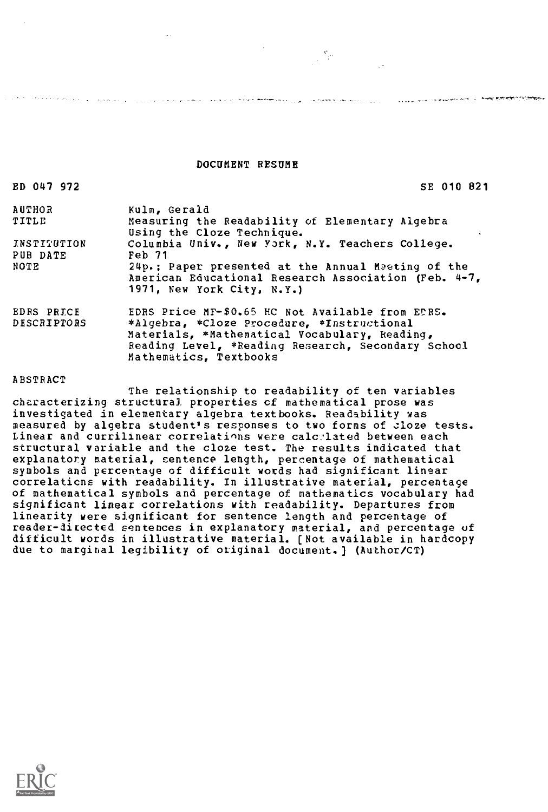DOCUMENT RESUME

and the second company of the second company of the second contract second contract the second company of the second contract of the second contract of the second contract of the second contract of the second contract of t

 $\label{eq:2.1} \sum_{\mathbf{k}}\mathbf{p}_{\mathbf{k},\mathbf{k}}\left(\mathbf{p}_{\mathbf{k},\mathbf{k}}\right)=\mathbf{p}_{\mathbf{k},\mathbf{k}}\mathbf{p}_{\mathbf{k},\mathbf{k}}$ 

### ED 047 972 SE 010 821

**CONTRACTOR COMPANY AND CONTRACTORY AND PRESENTATION OF AN INCORPORATION** 

| Kulm, Gerald                                         |
|------------------------------------------------------|
| Measuring the Readability of Elementary Algebra      |
| Using the Cloze Technique.<br>÷                      |
| Columbia Univ., New York, N.Y. Teachers College.     |
| Feb 71                                               |
| 24p.; Paper presented at the Annual Meeting of the   |
| American Educational Research Association (Feb. 4-7, |
| 1971, New York City, N.Y.)                           |
| EDRS Price MF-\$0.65 HC Not Available from EDRS.     |
| *Algebra, *Cloze Procedure, *Instructional           |
| Materials, *Mathematical Vocabulary, Reading,        |
| Reading Level, *Reading Research, Secondary School   |
| Mathematics, Textbooks                               |
|                                                      |

### ABSTRACT

The relationship to readability of ten variables characterizing structural properties cf mathematical prose was investigated in elementary algebra textbooks. Readability was measured by algetra student's responses to two forms of cloze tests. Linear and currilinear correlations were calc:lated between each structural variatle and the cloze test. The results indicated that explanatory material, sentence length, percentage of mathematical symbols and percentage of difficult words had significant linear correlaticns with readability. In illustrative material, percentage of mathematical symbols and percentage of mathematics vocabulary had significant linear correlations with readability. Departures from linearity were significant for sentence length and percentage of reader-directed sentences in explanatory material, and percentage of difficult words in illustrative material. [Not available in hardcopy due to marginal legibility of original document.) (Author/CT)

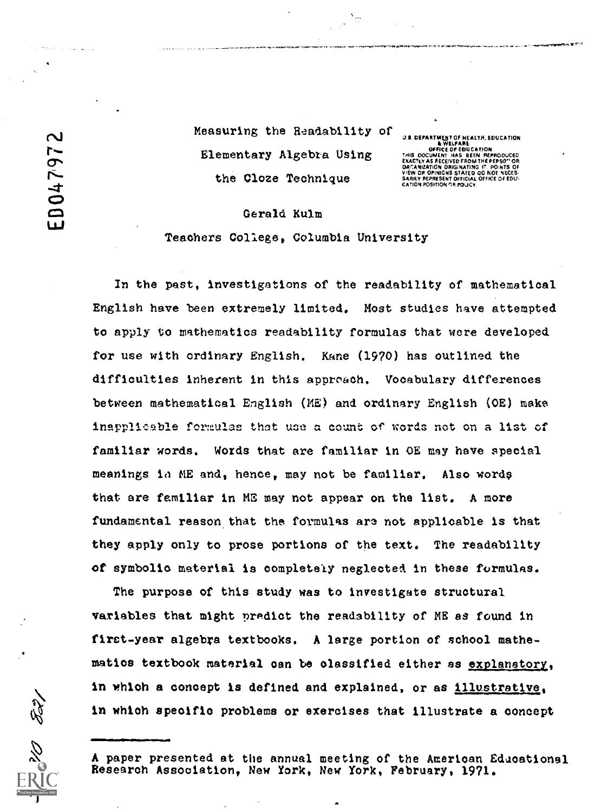Measuring the Readability Elementary Algebra Using the Cloze Technique

**Q 2**<br>
U.S. DEPARTMENT OF HEALTH. EDUCATION<br>
THIS DOCUMENT HAS BEEN REPRODUCED<br>
THIS DOCUMENT HAS BEEN REPRODUCED<br>
EXACTLY AS RECEIVED FROM THE PERSO" OR<br>
DACANIZATION ORIGIALTING IT. POINTS OF<br>
VEW OR OPINIONS STATED OO N

### Gerald Kulm

Teachers College, Columbia University

In the past, investigations of the readability of mathematical English have been extremely limited. Most studies have attempted to apply to mathematics readability formulas that were developed for use with ordinary English. Kane (1970) has outlined the difficulties inherent in this approach. Vocabulary differences between mathematical English (ME) and ordinary English (OE) make inapplicable formulas that use a count of words not on a list of familiar words. Words that are familiar in OE may have special meanings in ME and, hence, may not be familiar. Also words that are familiar in MS may not appear on the list. A more fundamental reason that the formulas are not applicable is that they apply only to prose portions of the text. The readability of symbolic material is completely neglected in these formulas.

The purpose of this study was to investigate structural variables that might predict the readability of ME as found in first -year algebra textbooks. A large portion of school mathematios textbook material can be classified either as explanatory, in which a concept is defined and explained, or as illustrative., in whioh specific problems or exercises that illustrate a concept

A paper presented at the annual meeting of the American Educational Research Association, New York, New York, February, 1971.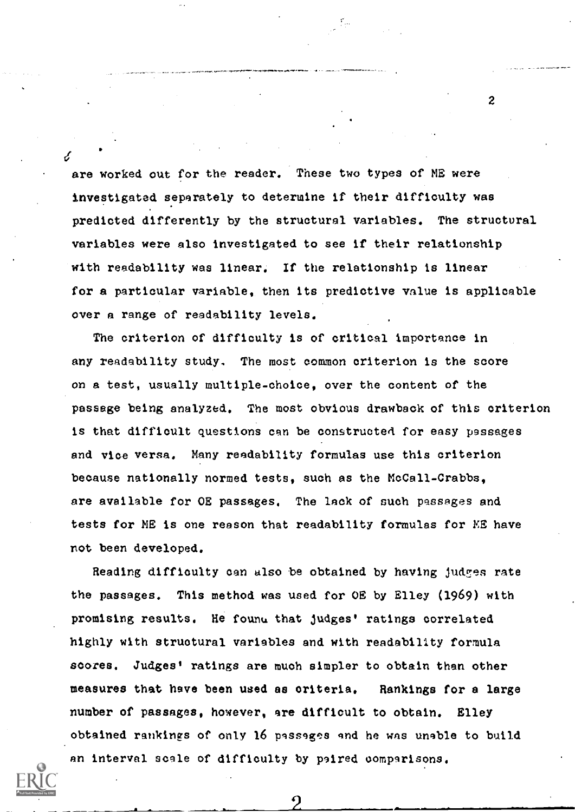$\epsilon$ are worked out for the reader. These two types of ME were investigated separately to determine if their difficulty was predicted differently by the structural variables. The structural variables were also investigated to see if their relationship with readability was linear. If the relationship is linear for a particular variable, then its predictive value is applicable over a range of readability levels.

The criterion of difficulty is of critical importance in any readability study. The most common criterion is the score on a test, usually multiple-choice, over the content of the passage being analyzed. The most obvious drawback of this criterion is that difficult questions can be constructed for easy passages and vice versa. Many readability formulas use this criterion because nationally normed tests, such as the McCall-Crabbs, are available for OE passages. The lack of such passages and tests for NE is one reason that readability formulas for ME have not been developed.

Reading difficulty can also be obtained by having judges rate the passages. This method was used for OE by Elley (1969) with promising results. He found that judges' ratings correlated highly with structural variables and with readability formula scores. Judges' ratings are much simpler to obtain than other measures that have been used as criteria. Rankings for a large number of passages, however, are difficult to obtain. Elley obtained rankings of only 16 passages and he was unable to build an interval scale of difficulty by paired comparisons.

 $\overline{2}$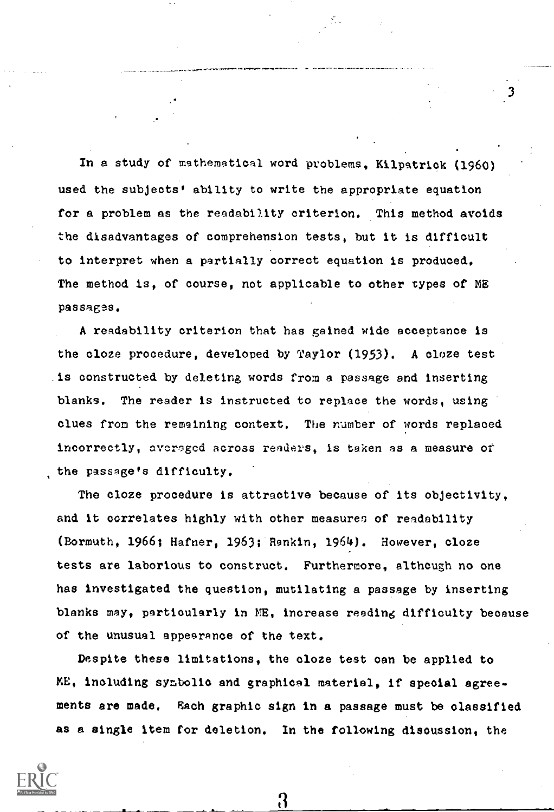In a study of mathematical word problems, Kilpatrick (1960) used the subjects' ability to write the appropriate equation for a problem as the readability criterion. This method avoids the disadvantages of comprehension tests, but it is difficult to interpret when a partially correct equation is produced. The method is, of course, not applicable to other types of ME passages.

3

A readability criterion that has gained wide acceptance is the cloze procedure, developed by Taylor (1953). A cloze test is constructed by deleting words from a passage and inserting blanks. The reader is instructed to replace the words, using clues from the remaining context. The number of words replaced incorrectly, averagcd across readers, is taken as a measure of the passage's difficulty.

The cloze procedure is attractive because of its objectivity, and it correlates highly with other measures of readability (Bormuth, 1966; Hafner, 1963; Rankin, 1964). However, cloze tests are laborious to construct. Furthermore, although no one has investigated the question, mutilating a passage by inserting blanks may, particularly in ME, increase reeding difficulty because of the unusual appearance of the text.

Despite these limitations, the oloze test can be applied to ME, including symbolio and graphical material, if special agreements are made, Each graphic sign in a passage must be classified as a single item for deletion. In the following discussion, the

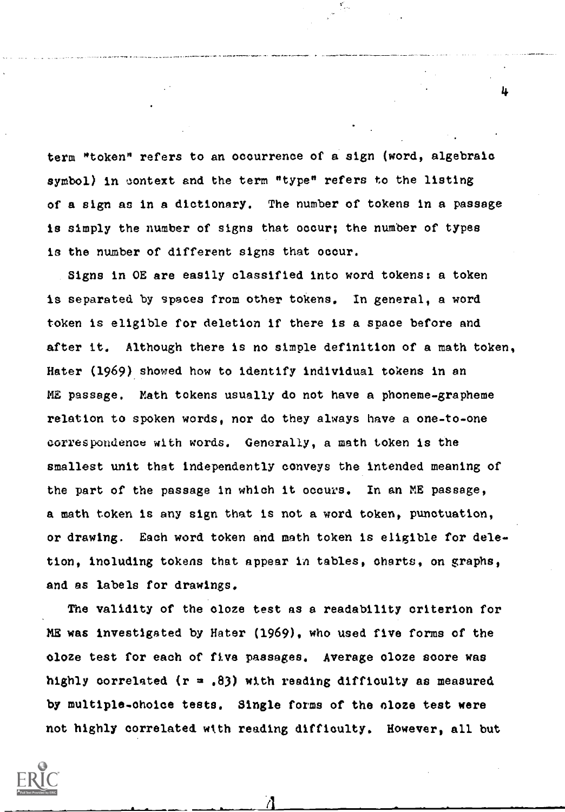term "token" refers to an occurrence of a sign (word, algebraic symbol) in context and the term "type" refers to the listing of a sign as in a dictionary. The number of tokens in a passage is simply the number of signs that occur; the number of types is the number of different signs that occur.

4

Signs in OE are easily classified into word tokens: a token is separated by spaces from other tokens, In general, a word token is eligible for deletion if there is a space before and after it. Although there is no simple definition of a math token, Hater (1969) showed how to identify individual tokens in an ME passage. Math tokens usually do not have a phoneme-grapheme relation to spoken words, nor do they always have a one-to-one correspondence with words. Generally, a math token is the smallest unit that independently conveys the intended meaning of the part of the passage in which it occurs. In an ME passage, a math token is any sign that is not a word token, punctuation, or drawing. Each word token and math token is eligible for deletion, including tokens that appear in tables, charts, on graphs, and as labels for drawings.

The validity of the cloze test as a readability criterion for ME was investigated by Hater (1969), who used five forms of the oloze test for each of five passages. Average oloze score was highly correlated ( $r = .83$ ) with reading difficulty as measured by multiple-choice tests. Single forms of the cloze test were not highly correlated with reading difficulty. However, all but

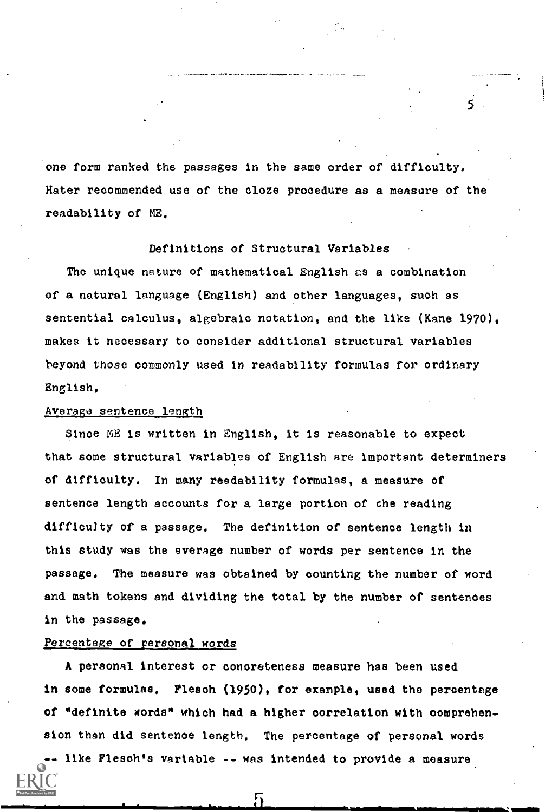one form ranked the passages in the same order of difficulty. Hater recommended use of the cloze procedure as a measure of the readability of ME.

5

# Definitions of Structural Variables

The unique nature of mathematical English as a combination of a natural language (English) and other languages, such as sentential calculus, algebraic notation, and the like (Kane 1970), makes it necessary to consider additional structural variables beyond those commonly used in readability formulas for ordinary English.

## Average sentence length

Since ME is written in English, it is reasonable to expect that some structural variables of English are important determiners of difficulty. In many readability formulas, a measure of sentence length accounts for a large portion of the reading difficulty of a passage. The definition of sentence length in this study was the average number of words per sentence in the passage. The measure was obtained by counting the number of word and math tokens and dividing the total by the number of sentences in the passage.

## Percentage of personal words

A personal interest or concreteness measure has been used in some formulas. Flesoh (1950), for example, used the percentage of "definite words" which had a higher correlation with comprehension than did sentence length. The percentage of personal words

like Flesoh's variable -- was intended to provide a measure.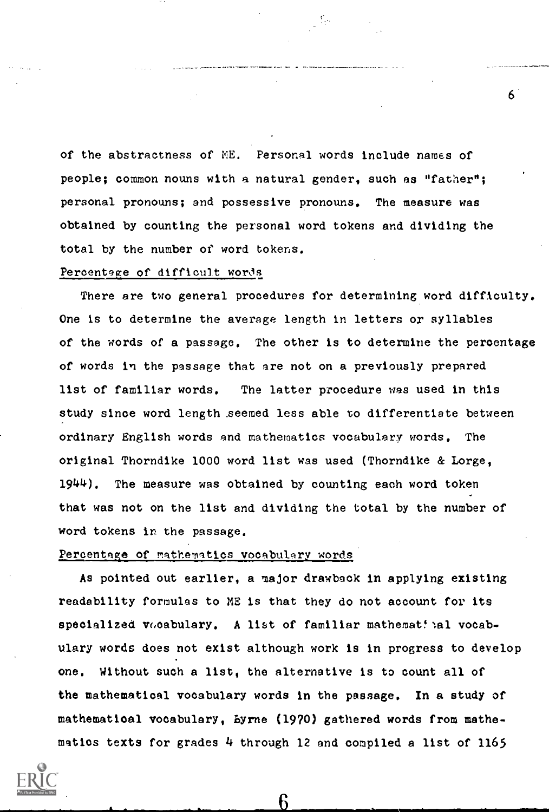of the abstractness of ME. Personal words include names of people; common nouns with a natural gender, such as "father"; personal pronouns; and possessive pronouns. The measure was obtained by counting the personal word tokens and dividing the total by the number of word tokens.

## Percentage of difficult words

There are two general procedures for determining word difficulty. One is to determine the average length in letters or syllables of the words of a passage. The other is to determine the percentage of words in the passage that are not on a previously prepared list of familiar words. The latter procedure was used in this study since word length seemed less able to differentiate between ordinary English words and mathematics vocabulary words. The original Thorndike 1000 word list was used (Thorndike & Lorge, 1944). The measure was obtained by counting each word token that was not on the list and dividing the total by the number of word tokens in the passage.

## Percentage of mathematics vocabulary words

As pointed out earlier, a major drawback in applying existing readability formulas to ME is that they do not account for its specialized vocabulary. A list of familiar mathematical vocabulary words does not exist although work is in progress to develop one. Without such a list, the alternative is to count all of the mathematical vocabulary words in the passage. In a study of mathematical vocabulary, Byrne (1970) gathered words from mathematios texts for grades 4 through 12 and compiled a list of 1165

Բ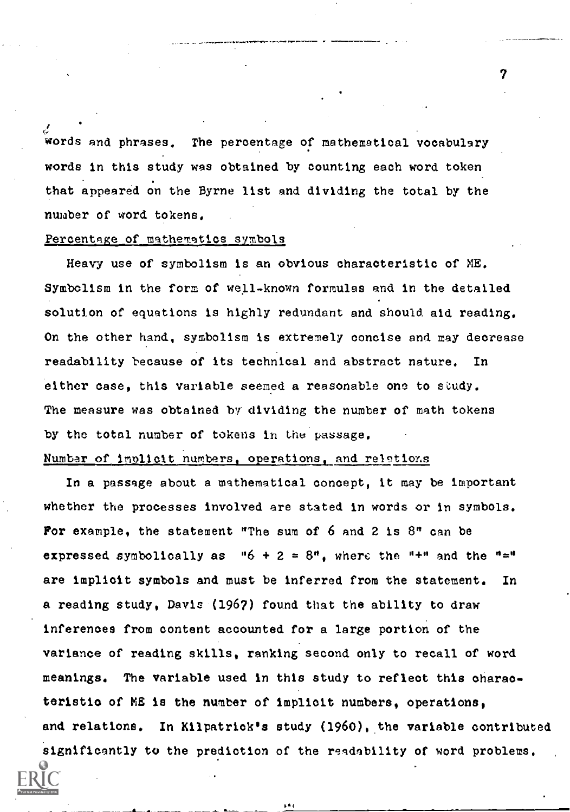words and phrases. The percentage of mathematical vocabulary words in this study was obtained by counting each word token that appeared on the Byrne list and dividing the total by the number of word tokens.

# Percentage of mathematics symbols

Heavy use of symbolism is an obvious characteristic of ME. Symbolism in the form of well-known formulas and in the detailed solution of equations is highly redundant and should aid reading. On the other hand, symbolism is extremely concise and may decrease readability because of its technical and abstract nature. In either case, this variable seemed a reasonable one to study. The measure was obtained by dividing the number of math tokens by the total number of tokens in the passage.

# Number of implicit numbers, operations, and relations

In a passage about a mathematical concept, it may be important whether the processes involved are stated in words or in symbols. For example, the statement "The sum of 6 and 2 is 8" can be expressed symbolically as  $-16 + 2 = 8^n$ , where the  $-1 + n$  and the  $-1 = 1$ are implicit symbols and must be inferred from the statement. In a reading study, Davis (1967) found that the ability to draw inferences from content accounted for a large portion of the variance of reading skills, ranking second only to recall of word meanings. The variable used in this study to reflect this oharaoteristio of ME is the number of implicit numbers, operations, and relations. In Kilpatrick's study (1960), the variable contributed significantly to the prediction of the readability of word problems.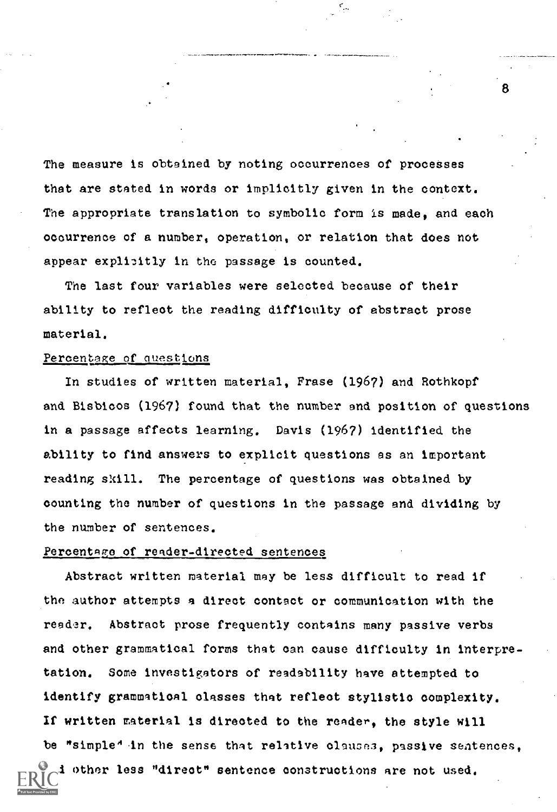The measure is obtained by noting occurrences of processes that are stated in words or implicitly given in the context. The appropriate translation to symbolic form is made, and each occurrence of a number, operation, or relation that does not appear explicitly in the passage is counted.

The last four variables were selected because of their ability to reflect the reading difficulty of abstract prose material.

## Percentage of questions

In studies of written material, Frase (1967) and Rothkopf and Bisbicos (1967) found that the number and position of questions in a passage affects learning. Davis (1967) identified the ability to find answers to explicit questions as an important reading skill. The percentage of questions was obtained by counting the number of questions in the passage and dividing by the number of sentences.

### Percentage of reader-directed sentences

Abstract written material may be less difficult to read if the author attempts a direct contact or communication with the reader. Abstract prose frequently contains many passive verbs and other grammatical forms that can cause difficulty in interpretation. Some investigetors of readability have attempted to identify grammatical classes that reflect stylistic complexity. If written material is directed to the render, the style will be "simple" in the sense that relative clauses, passive sentences, i other less "direct" sentence constructions are not used.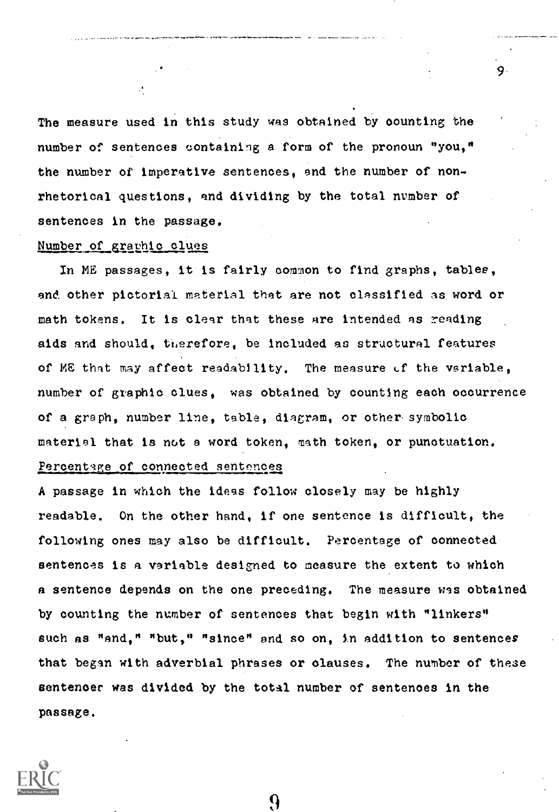The measure used in this study was obtained by counting the number of sentences containing a form of the pronoun "you," the number of imperative sentences, end the number of nonrhetorical questions, and dividing by the total number of sentences in the passage.

9

# Number of graphic clues

In ME passages, it is fairly common to find graphs, tables, and. other pictorial material that are not classified as word or math tokens. It is clear that these are intended as reading aids and should, ti,erefore, be included as structural features of  $MB$  that may affect readability. The measure  $\mathcal L$  the variable, number of graphic clues, was obtained by counting each occurrence of a graph, number line, table, diagram, or other symbolic materiel that is not a word token, math token, or punctuation. Percentage of connected sentences

A passage in which the ideas follow closely may be highly readable. On the other hand, if one sentence is difficult, the following ones may also be difficult. Percentage of connected sentences is a variable designed to measure the extent to which a sentence depends on the one preceding. The measure was obtained by counting the number of sentences that begin with "linkers" such as "and," "but," "since" and so on, in addition to sentences that began with adverbial phrases or olauses. The number of these sentencer was divided by the total number of sentences in the passage.



 $\boldsymbol{Q}$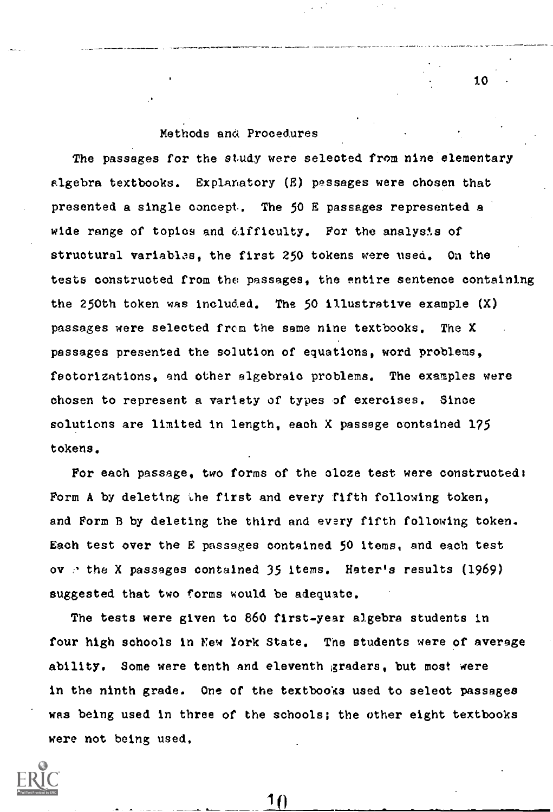# Methods and Procedures

The passages for the study were selected from nine elementary slgebra textbooks. Explanatory (E) passages were chosen that presented a single concept. The 50 E passages represented a wide range of topics and difficulty. For the analysis of structural variables, the first 250 tokens were used. On the tests constructed from the passages, the entire sentence containing the 250th token was included. The 50 illustrative example  $(X)$ passages were selected from the same nine textbooks. The X passages presented the solution of equations, word problems, factorizations, and other algebraic problems. The examples were chosen to represent a variety of types of exercises. Since solutions are limited in length, each X passage contained 175 tokens.

For each passage, two forms of the oloze test were constructed: Form A by deleting the first and every fifth following token, and Form B by deleting the third and every fifth following token. Each test over the E passages contained 50 items, and each test ov e the X passages contained 35 items. Hater's results (1969) suggested that two forms would be adequate.

The tests were given to 860 first-year algebra students in four high schools in New York State. The students were of average ability. Some were tenth and eleventh graders, but most were in the ninth grade. One of the textbooks used to select passages was being used in three of the schools; the other eight textbooks were not being used.



 $10$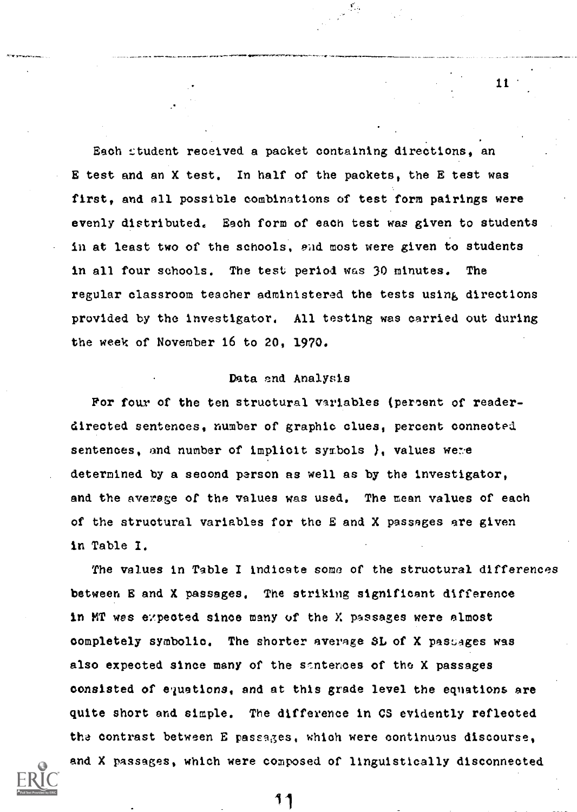Each student received a packet containing directions, an E test and an X test. In half of the packets, the E test was first, and all possible combinations of test form pairings were evenly distributed. Each form of each test was given to students in at least two of the schools, end most were given to students in all four schools. The test period was 30 minutes. The regular classroom teacher administered the tests using directions provided by the investigator. All testing was carried out during the week of November 16 to 20, 1970.

## Data end Analysis

For four of the ten structural variables (percent of readerdirected sentences, number of graphic clues, percent conneeted sentences, and number of implicit symbols  $\}$ , values were determined by a second person as well as by the investigator, and the average of the values was used. The mean values of each of the structural variables for the E and X passages are given in Table I.

The values in Table I indicate some of the structural differences between E and X passages. The striking significant difference in MT was expected since many of the X passages were almost completely symbolic. The shorter average SL of X passages was also expected since many of the santences of the X passages consisted of equations, and at this grade level the equations are quite short and simple. The difference in CS evidently reflected tha contrast between E passages, which were continuous discourse, and X passages, which were composed of linguistically disconnected

11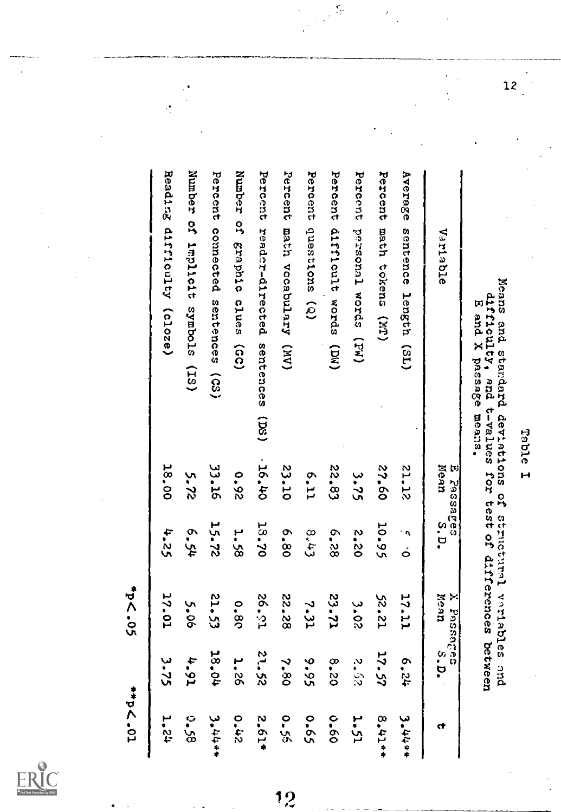Table I<br>Means and standard deviations of structural variables and<br>E and X passage means.<br>E and X passage means.

| Variadie                                     | Mean<br>E Passages | s.p.     | MeaM<br>X Phasanges | s.p.          | ٢t          |
|----------------------------------------------|--------------------|----------|---------------------|---------------|-------------|
| Average sentence length (SL)                 | 21.12              | ه ٠<br>ق | 17-11               | 42.9          | $3.4444*$   |
| Percent math tokens (MT)                     | 09°22              | 10.95    | 52.21               | 17.57         | 8.41**      |
| Percent personal words (PW)                  | 3.75               | 2.20     | $3 - 0.2$           | $\frac{2}{3}$ | 1-51        |
| Percent difficult words<br>(100)             | 22.83              | 6.28     | 23.71               | 8.20          | $0 - 60$    |
| Percent questions (Q)                        | 6.11               | 8.43     | 7.31                | 9.95          | 59.0        |
| Percent<br>math vocabulary (NV)              | 23.10              | 6.80     | 22.58               | 2.80          | $0 - 55$    |
| Percent reader-directed<br>sentences<br>(SS) | 0.56,40            | 13.70    | 15-92               | 22.52         | $2.61*$     |
| Number of graphic clues (GC)                 | 0.92               | 1.58     | 0.8c                | <b>1.26</b>   | 0.42        |
| Percent connected sentences (CS)             | 33.16              | 15.72    | 21.53               | 18.04         | $3.4444*$   |
| Number of implicing symbols (IS)             | 5.72               | 6.54     | 5.06                | 4.91          | 0.58        |
| Reading difficulty (cloze)                   | 18.00              | 4.25     | 17.01               | 3-75          | <b>12°L</b> |
|                                              |                    |          | <b>SO.05</b>        |               | to - pd ++  |

 $\tilde{\zeta}$ 



 $\frac{1}{2}$ 

 $\frac{1}{12}$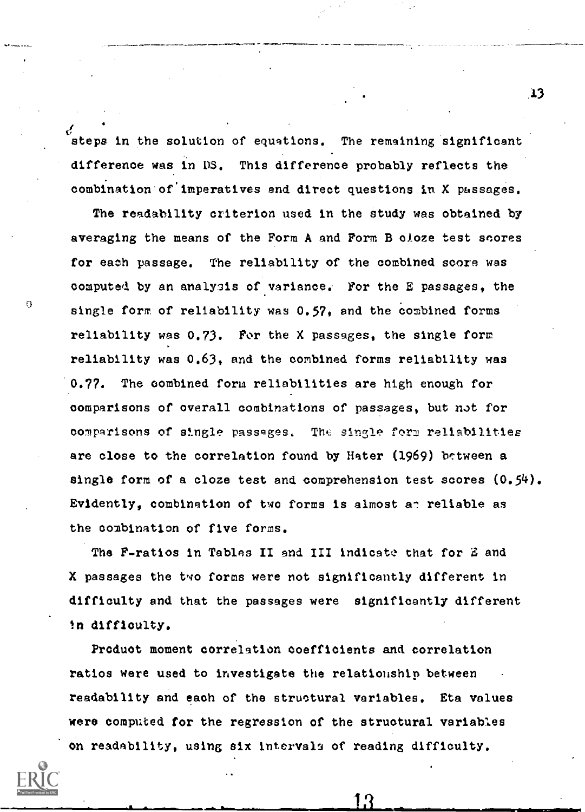steps in the solution of equations. The remaining significant difference was in DS. This difference probably reflects the combination of imperatives and direct questions in X passages.

The readability criterion used in the study was obtained by averaging the means of the Form A and Form B cloze test snores for each passage. The reliability of the combined score was computed by an analysis of variance. For the E passages, the single form of reliability was 0.57, and the combined forms reliability was 0.73. For the X passages, the single form reliability was 0.63, and the combined forms reliability was 0.77. The combined form reliabilities are high enough for comparisons of overall combinations of passages, but not for comparisons of single passages. The single form reliabilities are close to the correlation found by Hater (1969) between a single form of a cloze test and comprehension test scores  $(0,54)$ . Evidently, combination of two forms is almost an reliable as the combination of five forms.

 $\Omega$ 

The F-ratios in Tables II and III indicate that for E and X passages the two forms were not significantly different in difficulty and that the passages were significantly different in difficulty.

Product moment correlation coefficients and correlation ratios were used to investigate the relationship between readability and each of the structural variables. Eta values were computed for the regression of the structural variables on readability, using six intervals of reading difficulty.

L3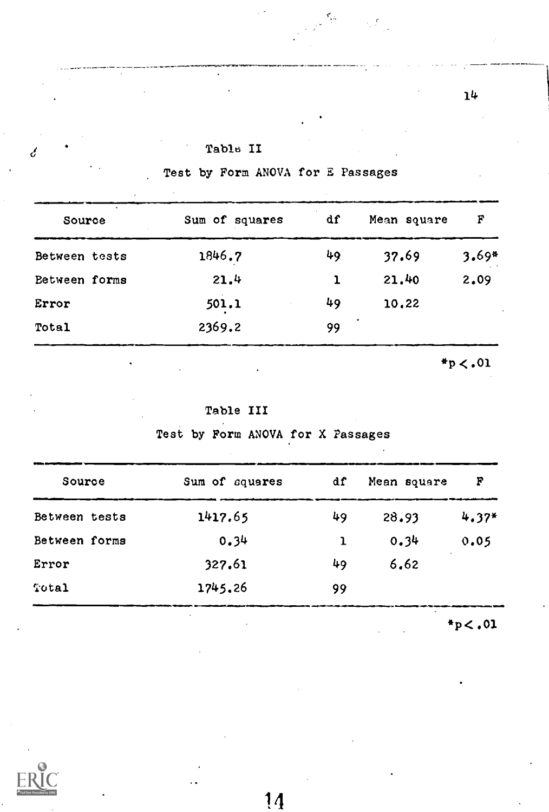| Table II |  |
|----------|--|
|----------|--|

Test by Form ANOVA for E Passages

r.

 $\mathcal{L}_{\mathcal{A}}$ 

| Source        | Sum of squares | df | Mean square | F       |
|---------------|----------------|----|-------------|---------|
| Between tests | 1846.7         | 49 | 37.69       | $3.69*$ |
| Between forms | 21.4           | 1  | 21.40       | 2.09    |
| Error         | 501.1          | 49 | 10,22       |         |
| Total         | 2369.2         | 99 |             |         |

Table III

Test by Form ANOVA for X Passages

| Source        | Sum of squares | df | Mean square | F       |
|---------------|----------------|----|-------------|---------|
| Between tests | 1417.65        | 49 | 28.93       | $4.37*$ |
| Between forms | 0.34           | ı  | 0.34        | 0.05    |
| Error         | 327.61         | 49 | 6.62        |         |
| Total         | 1745.26        | 99 |             |         |

 $*_{p}<.01$ 



 $\mathcal{C}$ 

14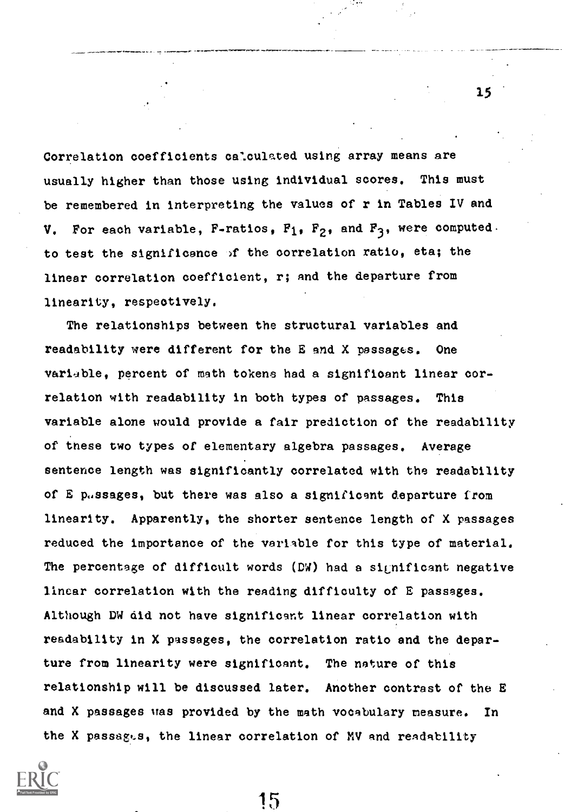Correlation coefficients calculated using array means are usually higher than those using individual scores. This must be remembered in interpreting the values of r in Tables IV and V. For each variable, F-ratios,  $F_1$ ,  $F_2$ , and  $F_3$ , were computed. to test the significance )f the correlation ratio, eta; the linear correlation coefficient, r; and the departure from linearity, respectively.

The relationships between the structural variables and readability were different for the E and X passages. One variable, percent of math tokens had a significant linear correlation with readability in both types of passages. This variable alone would provide a fair prediction of the readability of these two types of elementary algebra passages. Average sentence length was significantly correlated with the readability of E passages, but there was also a significant departure from linearity. Apparently, the shorter sentence length of X passages reduced the importance of the variable for this type of material. The percentage of difficult words (D4) had a significant negative linear correlation with the reading difficulty of E passages. Although DW did not have significant linear correlation with readability in X passages, the correlation ratio and the departure from linearity were significant. The nature of this relationship will be discussed later. Another contrast of the E and X passages was provided by the math vocabulary measure. In the X passages, the linear correlation of MV and readability

15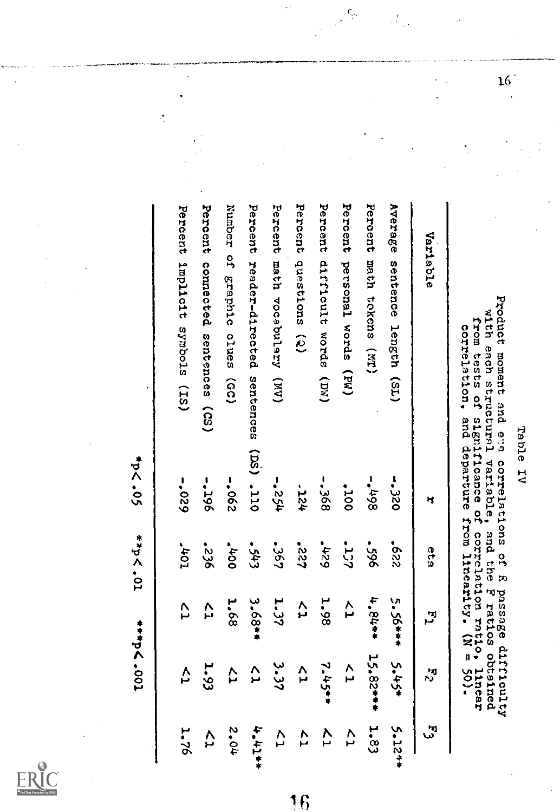|                  |                  |          |                   | <b>TO</b> - 201   | *p< . ov     |                                                                                                                                                                                                                                     |
|------------------|------------------|----------|-------------------|-------------------|--------------|-------------------------------------------------------------------------------------------------------------------------------------------------------------------------------------------------------------------------------------|
|                  | <b>1.76</b>      | Α        | Ç                 | TO+1              | $-029$       | Percent implicit symbols (IS)                                                                                                                                                                                                       |
|                  | 4                | 1.93     | 27                | 922.              | <b>-.296</b> | Percent connected sentences (CS)                                                                                                                                                                                                    |
|                  | 2.04             | Þ        | 1,68              | 56                | $-062$       | Number of graphic clues (GC)                                                                                                                                                                                                        |
|                  | $4 + 14 + 7$     | ∠<br>h   | $3.68**$          | $\epsilon_{\eta}$ |              | Percent reader-directed sentences (DS) .110                                                                                                                                                                                         |
|                  | $\overline{C}$   | 3.37     | 1.37              | - 367             | $+52 -$      | Percent<br>math vocabulary (MV)                                                                                                                                                                                                     |
| $\mathbf f$<br>1 | Z7               | ∕<br>H   | ^<br>ئى           | 122.              | $727 -$      | Percent questions (2)                                                                                                                                                                                                               |
|                  | ζ,               | 7.45**   | 1.98              | 627               | $-568$       | Percent difficult words (DM)                                                                                                                                                                                                        |
|                  | $\sum_{i=1}^{n}$ | ^<br>⊢   | $\overline{C}$    | <b>SCT</b> .      | 001*         | Percent personal words (PW)                                                                                                                                                                                                         |
|                  | 1.83             | 15.82*** | 4.84**            | 965.              | $-$          | Percent math tokens (MT)                                                                                                                                                                                                            |
|                  | 5.12**           |          | $5.36***$ $2.42*$ | 229.              | $-5250$      | Average sentence length (SL)                                                                                                                                                                                                        |
|                  | بي<br>س          | ान<br>रा | بر<br>س           | 649               | ч            | Variable                                                                                                                                                                                                                            |
|                  |                  | Interr   |                   |                   |              | Product moment and eas correlations of E passage difficulty<br>with each structural variable, and the F ratios obtained<br>from tests of significance of correlation ratio,<br>correlation, and departure from linearity. (N = 50). |
|                  |                  |          |                   |                   | Table IV     |                                                                                                                                                                                                                                     |
|                  |                  |          |                   |                   |              |                                                                                                                                                                                                                                     |
|                  |                  |          |                   |                   |              |                                                                                                                                                                                                                                     |

 $\zeta_{\rm g}$ 

J.

Í

Ą



 $\frac{16}{1}$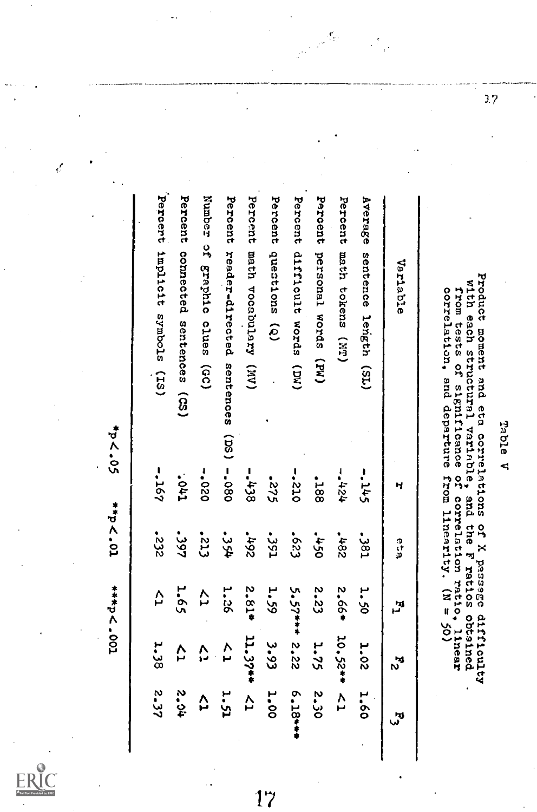Table V<br>Product moment and eta correlations of X passage difficulty<br>with each structural variable, and the F ratios obtained<br>from tests of significance of correlation ratio, linear<br>correlation, and departure from linearity

| Variadie                                     | н        | e<br>Sc     | اس<br>س        | اد<br>م      | لتر<br>ر     |  |
|----------------------------------------------|----------|-------------|----------------|--------------|--------------|--|
| Average<br>sentence length (SL)              | $-145$   | -381        | 1.50           | <b>1.02</b>  | 1.60         |  |
| Percent math tokens (MT)                     | $+24 -$  | <b>284°</b> | 2.66*          | $10,52**$ <1 |              |  |
| Percent personal words (PW)                  | .188     | $-450$      | 2.23           | 1.75         | <b>2.30</b>  |  |
| Percent difficult words (DW)                 | $-222$   | 553         | $5.57***2.22$  |              | 6.18***      |  |
| Percent questions (Q)                        | 522-     | -351        | 1.59           | 3.93         | 1.00         |  |
| Percent math vocabulary (MV)                 | $-5538$  | $261 -$     | 2.81*          | 11.37**      | ζ,           |  |
| Percent reader-directed sentences (DS) -.080 |          | -354        | <b>1.26</b>    | Y<br>J       | 1.51         |  |
| Number of graphic clues (GC)                 | $-020 -$ | <b>SIS.</b> | $\overline{C}$ | ý,           | Δ            |  |
| Percent connected sentences (CS)             | Tho.     | 1997        | 1.65           | Ç            | <b>40.54</b> |  |
| Percert implicit symbols (IS)                | $-167$   | 532         | $\overline{C}$ | 1.38         | 2.57         |  |

đ.

d

 $\frac{3}{2}$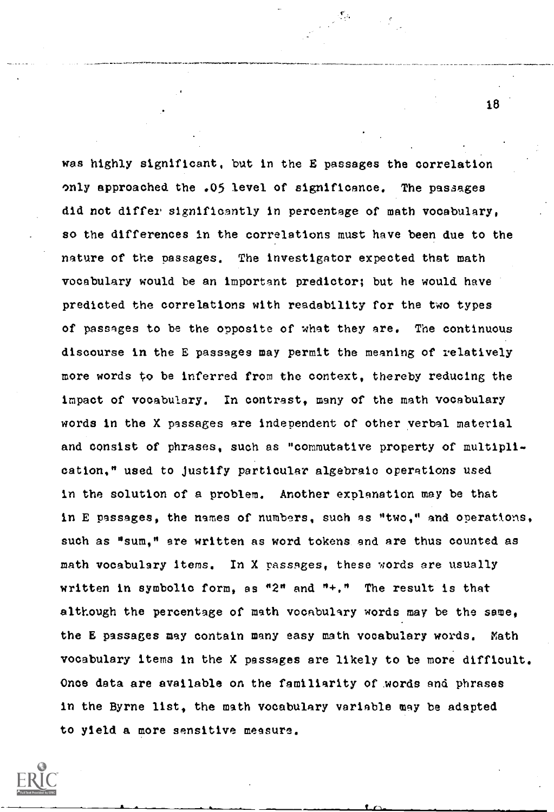was highly significant, but in the E passages the correlation only approached the .05 level of significance. The passages did not differ significantly in percentage of math vocabulary, so the differences in the correlations must have been due to the nature of the passages. The investigator expected that math vocabulary would be an important predictor; but he would have predicted the correlations with readability for the two types of passages to be the opposite of what they are. The continuous discourse in the E passages may permit the meaning of relatively more words to be inferred from the context, thereby reducing the impact of vocabulary. In contrast, many of the math vocabulary words in the X passages are independent of other verbal material and consist of phrases, such as "commutative property of multiplication," used to justify particular algebraic operations used in the solution of a problem. Another explanation may be that in E passages, the names of numbers, such as "two," and operations, such as "sum," are written as word tokens and are thus counted as math vocabulary items. In X passages, these words are usually written in symbolic form, as "2" and "+." The result is that although the percentage of math vocabulary words may be the same, the E passages may contain many easy math vocabulary words. Math vocabulary items in the X passages are likely to be more difficult. Once data are available on the familiarity of words and phrases in the Byrne list, the math vocabulary variable may be adapted to yield a more sensitive measure.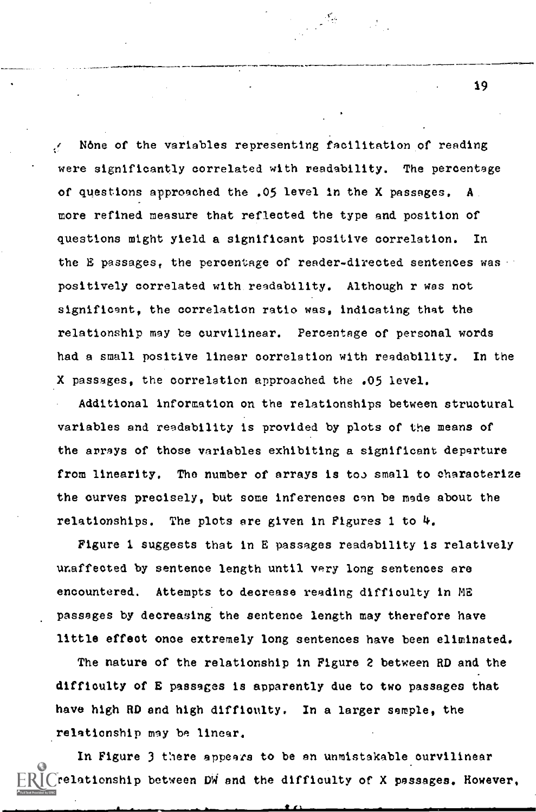N6ne of the variables representing facilitation of reading were significantly correlated with readability. The percentage of questions approached the .05 level in the X passages, A more refined measure that reflected the type and position of questions might yield a significant positive correlation. In the E passages, the percentage of reader-directed sentences was positively correlated with readability. Although r was not significant, the correlation ratio was, indicating that the relationship may be curvilinear. Percentage of personal words had a small positive linear correlation with readability. In the X passages, the correlation approached the .05 level.

Additional information on the relationships between structural variables and readability is provided by plots of the means of the arrays of those variables exhibiting a significant departure from linearity. The number of arrays is too small to characterize the curves precisely, but some inferences can be made about the relationships. The plots are given in Figures 1 to  $\mu$ .

Figure 1 suggests that in E passages readability is relatively unaffected by sentence length until very long sentences are encountered. Attempts to decrease reading difficulty in ME passages by decreasing the sentence length may therefore have little effect once extremely long sentences have been eliminated.

The nature of the relationship in Figure 2 between RD and the difficulty of E passages is apparently due to two passages that have high RD end high difficulty. In a larger sample, the relationship may be linear.

In Figure 3 there appears to be an unmistakable curvilinear relationship between D4 and the difficulty of X passages. However,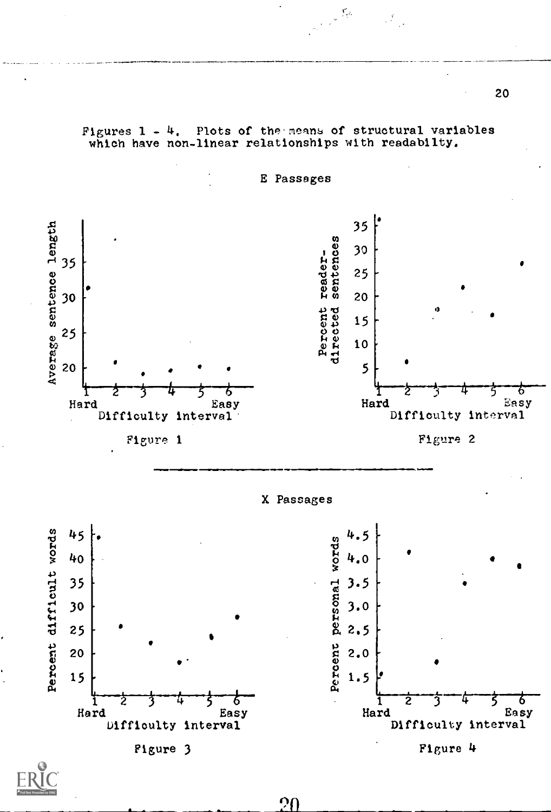E Passages 35  $\mathbf{C}$ 30  $\begin{bmatrix} 1 & 30 \\ 2 & 5 \\ 3 & 25 \end{bmatrix}$  $435$ 4.) 25  $\frac{3}{2}$  | 30 m 20  $\begin{bmatrix} 1 & 0 & 0 \\ 0 & 0 & 0 \\ 0 & 0 & 0 \\ 0 & 0 & 0 \end{bmatrix}$  $\ddot{\mathbf{e}}$  $\frac{6}{25}$  25 |  $\sum_{r=1}^{6}$   $\sum_{r=1}^{6}$   $\sum_{r=1}^{6}$   $\sum_{r=1}^{6}$   $\sum_{r=1}^{6}$   $\sum_{r=1}^{6}$   $\sum_{r=1}^{6}$   $\sum_{r=1}^{6}$   $\sum_{r=1}^{6}$   $\sum_{r=1}^{6}$   $\sum_{r=1}^{6}$   $\sum_{r=1}^{6}$   $\sum_{r=1}^{6}$   $\sum_{r=1}^{6}$   $\sum_{r=1}^{6}$   $\sum_{r=1}^{6}$   $\sum_{r=1}^{6}$  n 20 5 6  $\mathbf{1}$   $\mathbf{2}$ Hard Easy Hard Easy Difficulty interval<sup>'</sup> Difficulty interval Figure 1 Figure 2 X Passages 45 4.5 Percent personal words PI DI  $\left[\begin{array}{cc} 0 & 0 \\ 0 & 0 \end{array}\right]$  . 40  $\bullet$  such as  $\bullet$ 35 3.5  $\mathbf{0}$  and  $\mathbf{0}$ g 3.0 30  $\mathbf{H}$  . The set of  $\mathbf{H}$ R 2,5 ਚ 25 <del>|</del>  $\frac{1}{2}$  2.0  $\frac{1}{2}$ c 20  $\frac{1}{2}$  1,5  $\frac{1}{2}$ 15 14  $1 - 2 - 3 - 4 - 5 - 6$ 6 1 *4* 3 4 Hard Easy Hard Easy Difficulty interval Difficulty interval Figure 3 Figure 4

Figures 1 - 4, Plots of the means of structural variables which have non-linear relationships with readabilty.

 $\frac{1}{\sqrt{2}}\sum_{i=1}^{n} \frac{1}{\sqrt{2}}\sum_{i=1}^{n} \frac{1}{\sqrt{2}}\sum_{i=1}^{n} \frac{1}{\sqrt{2}}\sum_{i=1}^{n} \frac{1}{\sqrt{2}}\sum_{i=1}^{n} \frac{1}{\sqrt{2}}\sum_{i=1}^{n} \frac{1}{\sqrt{2}}\sum_{i=1}^{n} \frac{1}{\sqrt{2}}\sum_{i=1}^{n} \frac{1}{\sqrt{2}}\sum_{i=1}^{n} \frac{1}{\sqrt{2}}\sum_{i=1}^{n} \frac{1}{\sqrt{2}}\sum_{i=1}^{n}$ 



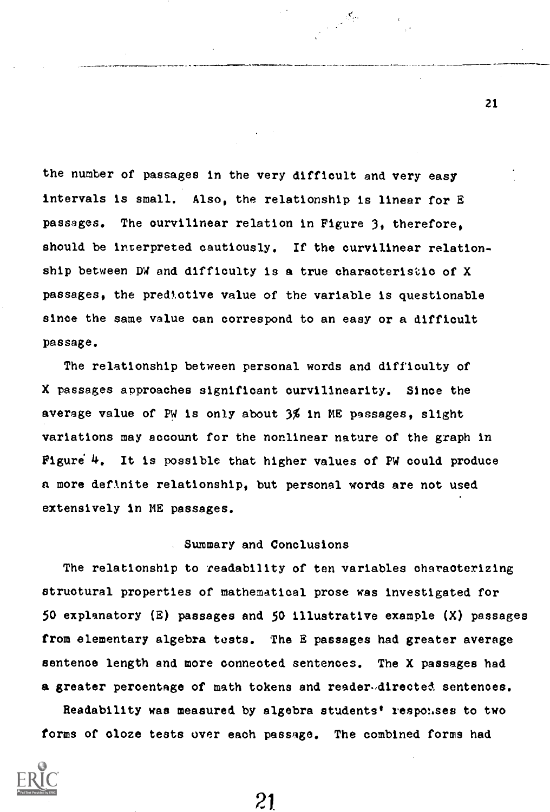the number of passages in the very difficult and very easy intervals is small. Also, the relationship is linear for E passages. The curvilinear relation in Figure 3, therefore, should be interpreted cautiously. If the curvilinear relationship between DW and difficulty is a true characteristic of X passages, the predictive value of the variable is questionable since the same value can correspond to an easy or a difficult passage.

 $\label{eq:2} \frac{1}{\sqrt{2}}\sum_{i=1}^N\frac{\sqrt{2} \sqrt{2} \sqrt{2}}{2\sqrt{2}}\frac{1}{2\sqrt{2}}\sum_{i=1}^N\frac{\sqrt{2} \sqrt{2}}{2\sqrt{2}}\frac{\sqrt{2}}{2\sqrt{2}}\frac{\sqrt{2}}{2\sqrt{2}}\frac{\sqrt{2}}{2}$ 

The relationship between personal words and difficulty of X passages approaches significant curvilinearity. Since the average value of PW is only about 3% in ME passages, slight variations may account for the nonlinear nature of the graph in Figure  $4.$  It is possible that higher values of PW could produce a more deflnite relationship, but personal words are not used extensively in ME passages.

## Summary and Conclusions

The relationship to readability of ten variables characterizing structural properties of mathematical prose was investigated for 50 explanatory (E) passages and 50 illustrative example (X) passages from elementary algebra tests. The E passages had greater average sentence length and more connected sentences. The X passages had a greater percentage of math tokens and reader-directed sentences.

Readability was measured by algebra students' responses to two forms of oloze tests over each passage. The combined forms had



21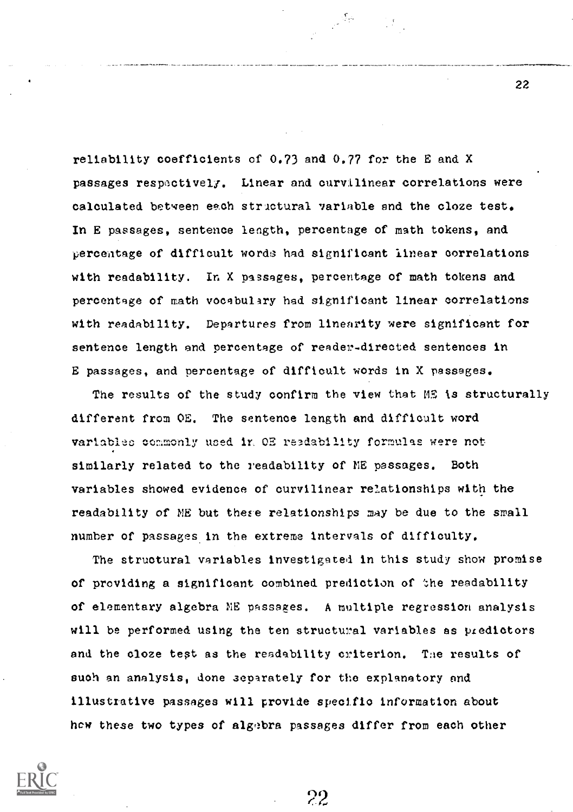reliability coefficients of 0.73 and 0.77 for the E and X passages respactivelf. Linear and curvilinear correlations were calculated between each structural variable and the cloze test. In E passages, sentence length, percentage of math tokens, and percentage of difficult words had significant linear correlations with readability. In X passages, percentage of math tokens and percentage of math vocabulary had significant linear correlations with readability. Departures from linearity were significant for sentence length and percentage of reader-directed sentences in E passages, and percentage of difficult words in X passages.

्रार्थक

The results of the study confirm the view that ME is structurally different from OE. The sentence length and difficult word variables commonly used ir. OE readability formulas were not similarly related to the readability of ME passages. Both variables showed evidence of curvilinear relationships with the readability of ME but these relationships may be due to the small number of passages in the extreme intervals of difficulty.

The structural variables investigated in this study show promise of providing a significant combined prediction of the readability of elementary algebra NE passages. A multiple regression analysis will be performed using the ten structural variables as predictors and the cloze test as the readability criterion. The results of such an analysis, done separately for the explanatory and illustrative passages will provide specific information about hew these two types of algebra passages differ from each other



22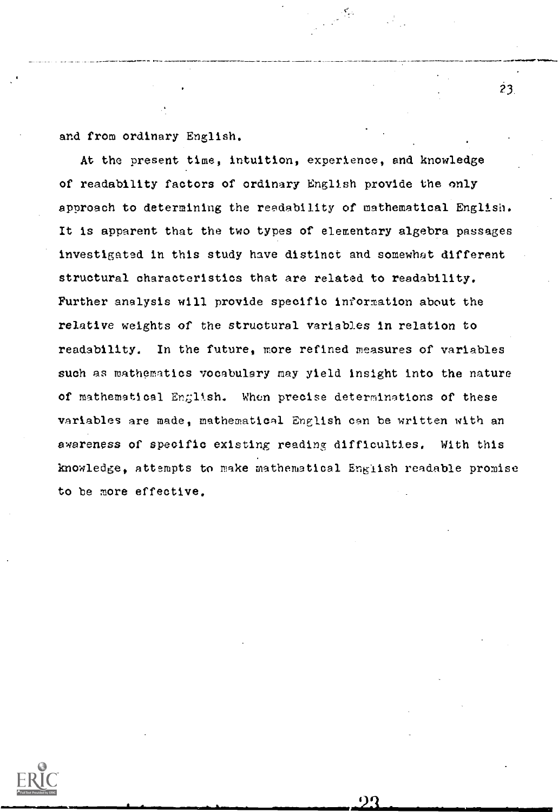and from ordinary English.

At the present time, intuition, experience, and knowledge of readability factors of ordinary English provide the only approach to determining the readability of mathematical English. It is apparent that the two types of elementary algebra passages investigated in this study have distinct and somewhat different structural characteristics that are related to readability. Further analysis will provide specific information about the relative weights of the structural variables in relation to readability. In the future, more refined measures of variables such as mathematics vocabulary may yield insight into the nature of mathematical English. When precise determinations of these variables are made, mathematical English can be written with an awareness of specific existing reading difficulties, With this knowledge, attempts to make mathematical English readable promise to be more effective.

 $23.$